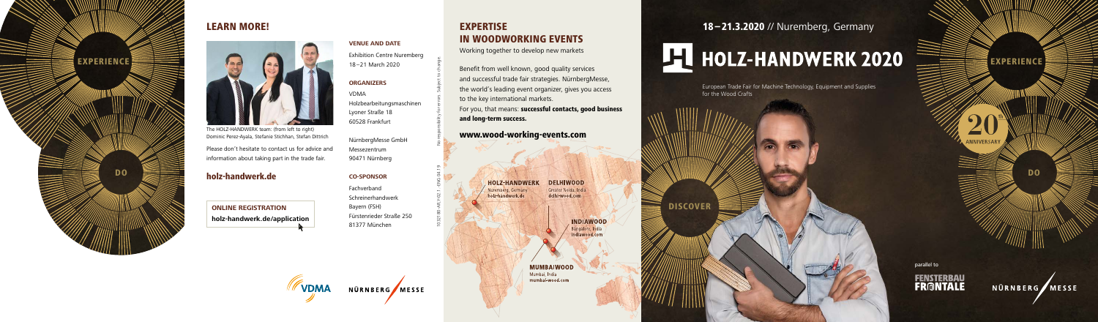#### holz-handwerk.de

The HOLZ-HANDWERK team: (from left to right) Dominic Perez-Ayala, Stefanie Stichhan, Stefan Dittrich

Please don't hesitate to contact us for advice and information about taking part in the trade fair.

**VENUE AND DATE** Exhibition Centre Nuremberg 18 –21 March 2020

#### **ORGANIZERS**

VDMA Holzbearbeitungsmaschinen Lyoner Straße 18 60528 Frankfurt

NürnbergMesse GmbH Messezentrum 90471 Nürnberg

#### **CO-SPONSOR**

Fachverband Schreinerhandwerk Bayern (FSH) Fürstenrieder Straße 250 81377 München

# 18 –21.3.2020 // Nuremberg, Germany EXPERIENCE EXPERIENCE EXPERIENCE



### LEARN MORE!



**ONLINE REGISTRATION holz-handwerk.de/application** EXPERTISE

**HOLZ-HANDWERK** emberg, Germany holz-handwerk.de

IN WOODWORKING EVENTS Working together to develop new markets

Benefit from well known, good quality services and successful trade fair strategies. NürnbergMesse, the world's leading event organizer, gives you access

For you, that means: successful contacts, good business

to the key international markets.

and long-term success.

**DELHIWOOD** Greater Noida, India delhi-wood.com

> **INDIAWOOD** Bangalore, India diawood com

**MUMBAIWOOD** Mumbai, India mumbai-wood.com

DISCOVER







European Trade Fair for Machine Technology, Equipment and Supplies for the Wood Crafts

parallel to



NÜRNBERG MESSE



DO

**A ANNIVERSARY**